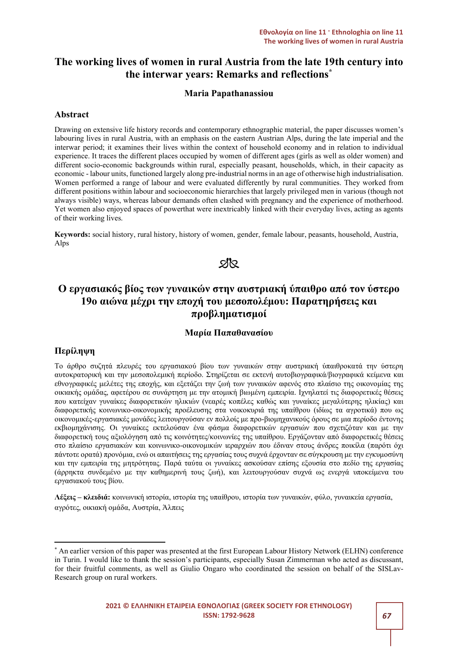# The working lives of women in rural Austria from the late 19th century into the interwar years: Remarks and reflections\*

# Maria Papathanassiou

# Abstract

Drawing on extensive life history records and contemporary ethnographic material, the paper discusses women's labouring lives in rural Austria, with an emphasis on the eastern Austrian Alps, during the late imperial and the interwar period; it examines their lives within the context of household economy and in relation to individual experience. It traces the different places occupied by women of different ages (girls as well as older women) and different socio-economic backgrounds within rural, especially peasant, households, which, in their capacity as economic - labour units, functioned largely along pre-industrial norms in an age of otherwise high industrialisation. Women performed a range of labour and were evaluated differently by rural communities. They worked from different positions within labour and socioeconomic hierarchies that largely privileged men in various (though not always visible) ways, whereas labour demands often clashed with pregnancy and the experience of motherhood. Yet women also enjoyed spaces of powerthat were inextricably linked with their everyday lives, acting as agents of their working lives.

Keywords: social history, rural history, history of women, gender, female labour, peasants, household, Austria, Alps



# Ο εργασιακός βίος των γυναικών στην αυστριακή ύπαιθρο από τον ύστερο 19ο αιώνα μέχρι την εποχή του μεσοπολέμου: Παρατηρήσεις και προβληματισμοί

# Μαρία Παπαθανασίου

# Περίληψη

Το άρθρο συζητά πλευρές του εργασιακού βίου των γυναικών στην αυστριακή ύπαιθροκατά την ύστερη αυτοκρατορική και την μεσοπολεμική περίοδο. Στηρίζεται σε εκτενή αυτοβιογραφικά/βιογραφικά κείμενα και εθνογραφικές μελέτες της εποχής, και εξετάζει την ζωή των γυναικών αφενός στο πλαίσιο της οικονομίας της οικιακής ομάδας, αφετέρου σε συνάρτηση με την ατομική βιωμένη εμπειρία. Ιχνηλατεί τις διαφορετικές θέσεις που κατείχαν γυναίκες διαφορετικών ηλικιών (νεαρές κοπέλες καθώς και γυναίκες μεγαλύτερης ηλικίας) και διαφορετικής κοινωνικο-οικονομικής προέλευσης στα νοικοκυριά της υπαίθρου (ιδίως τα αγροτικά) που ως οικονομικές-εργασιακές μονάδες λειτουργούσαν εν πολλοίς με προ-βιομηχανικούς όρους σε μια περίοδο έντονης εκβιομηχάνισης. Οι γυναίκες εκτελούσαν ένα φάσμα διαφορετικών εργασιών που σχετιζόταν και με την διαφορετική τους αξιολόγηση από τις κοινότητες/κοινωνίες της υπαίθρου. Εργάζονταν από διαφορετικές θέσεις στο πλαίσιο εργασιακών και κοινωνικο-οικονομικών ιεραρχιών που έδιναν στους άνδρες ποικίλα (παρότι όχι πάντοτε ορατά) προνόμια, ενώ οι απαιτήσεις της εργασίας τους συχνά έρχονταν σε σύγκρουση με την εγκυμοσύνη και την εμπειρία της μητρότητας. Παρά ταύτα οι γυναίκες ασκούσαν επίσης εξουσία στο πεδίο της εργασίας (άρρηκτα συνδεμένο με την καθημερινή τους ζωή), και λειτουργούσαν συχνά ως ενεργά υποκείμενα του εργασιακού τους βίου.

Λέξεις – κλειδιά: κοινωνική ιστορία, ιστορία της υπαίθρου, ιστορία των γυναικών, φύλο, γυναικεία εργασία, αγρότες, οικιακή ομάδα, Αυστρία, Άλπεις

<sup>\*</sup> An earlier version of this paper was presented at the first European Labour History Network (ELHN) conference in Turin. I would like to thank the session's participants, especially Susan Zimmerman who acted as discussant, for their fruitful comments, as well as Giulio Ongaro who coordinated the session on behalf of the SISLav-Research group on rural workers.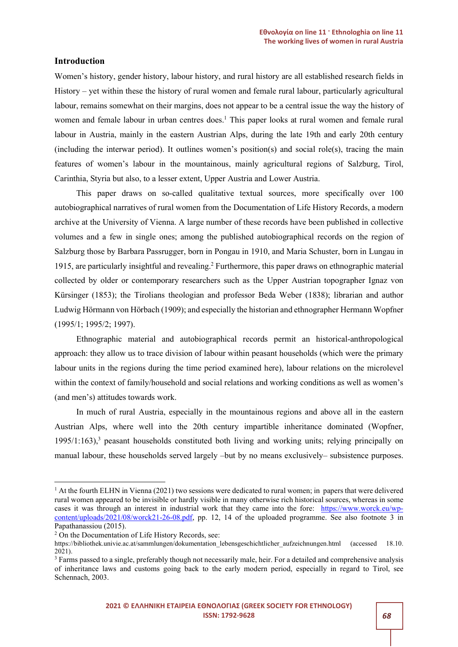### Introduction

Women's history, gender history, labour history, and rural history are all established research fields in History – yet within these the history of rural women and female rural labour, particularly agricultural labour, remains somewhat on their margins, does not appear to be a central issue the way the history of women and female labour in urban centres does.<sup>1</sup> This paper looks at rural women and female rural labour in Austria, mainly in the eastern Austrian Alps, during the late 19th and early 20th century (including the interwar period). It outlines women's position(s) and social role(s), tracing the main features of women's labour in the mountainous, mainly agricultural regions of Salzburg, Tirol, Carinthia, Styria but also, to a lesser extent, Upper Austria and Lower Austria.

This paper draws on so-called qualitative textual sources, more specifically over 100 autobiographical narratives of rural women from the Documentation of Life History Records, a modern archive at the University of Vienna. A large number of these records have been published in collective volumes and a few in single ones; among the published autobiographical records on the region of Salzburg those by Barbara Passrugger, born in Pongau in 1910, and Maria Schuster, born in Lungau in 1915, are particularly insightful and revealing.<sup>2</sup> Furthermore, this paper draws on ethnographic material collected by older or contemporary researchers such as the Upper Austrian topographer Ignaz von Kürsinger (1853); the Tirolians theologian and professor Beda Weber (1838); librarian and author Ludwig Hörmann von Hörbach (1909); and especially the historian and ethnographer Hermann Wopfner (1995/1; 1995/2; 1997).

Ethnographic material and autobiographical records permit an historical-anthropological approach: they allow us to trace division of labour within peasant households (which were the primary labour units in the regions during the time period examined here), labour relations on the microlevel within the context of family/household and social relations and working conditions as well as women's (and men's) attitudes towards work.

In much of rural Austria, especially in the mountainous regions and above all in the eastern Austrian Alps, where well into the 20th century impartible inheritance dominated (Wopfner, 1995/1:163),<sup>3</sup> peasant households constituted both living and working units; relying principally on manual labour, these households served largely –but by no means exclusively– subsistence purposes.

<sup>&</sup>lt;sup>1</sup> At the fourth ELHN in Vienna (2021) two sessions were dedicated to rural women; in papers that were delivered rural women appeared to be invisible or hardly visible in many otherwise rich historical sources, whereas in some cases it was through an interest in industrial work that they came into the fore: https://www.worck.eu/wpcontent/uploads/2021/08/worck21-26-08.pdf, pp. 12, 14 of the uploaded programme. See also footnote 3 in Papathanassiou (2015).

<sup>&</sup>lt;sup>2</sup> On the Documentation of Life History Records, see:

https://bibliothek.univie.ac.at/sammlungen/dokumentation\_lebensgeschichtlicher\_aufzeichnungen.html (accessed 18.10. 2021).

<sup>&</sup>lt;sup>3</sup> Farms passed to a single, preferably though not necessarily male, heir. For a detailed and comprehensive analysis of inheritance laws and customs going back to the early modern period, especially in regard to Tirol, see Schennach, 2003.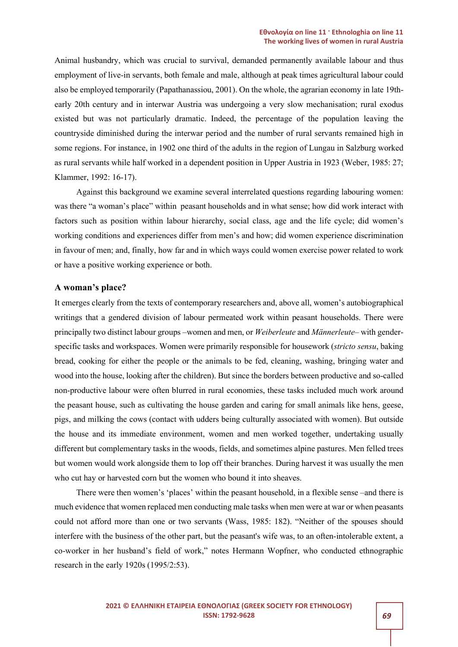#### Εθνολογία on line 11 · Ethnologhia on line 11 The working lives of women in rural Austria

Animal husbandry, which was crucial to survival, demanded permanently available labour and thus employment of live-in servants, both female and male, although at peak times agricultural labour could also be employed temporarily (Papathanassiou, 2001). On the whole, the agrarian economy in late 19thearly 20th century and in interwar Austria was undergoing a very slow mechanisation; rural exodus existed but was not particularly dramatic. Indeed, the percentage of the population leaving the countryside diminished during the interwar period and the number of rural servants remained high in some regions. For instance, in 1902 one third of the adults in the region of Lungau in Salzburg worked as rural servants while half worked in a dependent position in Upper Austria in 1923 (Weber, 1985: 27; Klammer, 1992: 16-17).

Against this background we examine several interrelated questions regarding labouring women: was there "a woman's place" within peasant households and in what sense; how did work interact with factors such as position within labour hierarchy, social class, age and the life cycle; did women's working conditions and experiences differ from men's and how; did women experience discrimination in favour of men; and, finally, how far and in which ways could women exercise power related to work or have a positive working experience or both.

#### A woman's place?

It emerges clearly from the texts of contemporary researchers and, above all, women's autobiographical writings that a gendered division of labour permeated work within peasant households. There were principally two distinct labour groups –women and men, or Weiberleute and Männerleute– with genderspecific tasks and workspaces. Women were primarily responsible for housework (stricto sensu, baking bread, cooking for either the people or the animals to be fed, cleaning, washing, bringing water and wood into the house, looking after the children). But since the borders between productive and so-called non-productive labour were often blurred in rural economies, these tasks included much work around the peasant house, such as cultivating the house garden and caring for small animals like hens, geese, pigs, and milking the cows (contact with udders being culturally associated with women). But outside the house and its immediate environment, women and men worked together, undertaking usually different but complementary tasks in the woods, fields, and sometimes alpine pastures. Men felled trees but women would work alongside them to lop off their branches. During harvest it was usually the men who cut hay or harvested corn but the women who bound it into sheaves.

There were then women's 'places' within the peasant household, in a flexible sense –and there is much evidence that women replaced men conducting male tasks when men were at war or when peasants could not afford more than one or two servants (Wass, 1985: 182). "Neither of the spouses should interfere with the business of the other part, but the peasant's wife was, to an often-intolerable extent, a co-worker in her husband's field of work," notes Hermann Wopfner, who conducted ethnographic research in the early 1920s (1995/2:53).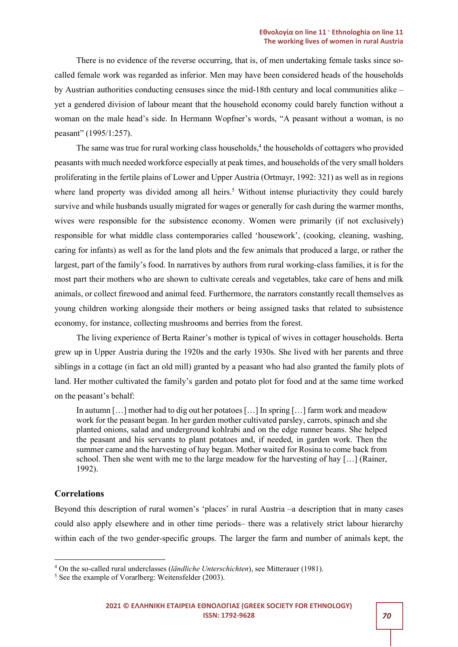There is no evidence of the reverse occurring, that is, of men undertaking female tasks since socalled female work was regarded as inferior. Men may have been considered heads of the households by Austrian authorities conducting censuses since the mid-18th century and local communities alike – yet a gendered division of labour meant that the household economy could barely function without a woman on the male head's side. In Hermann Wopfner's words, "A peasant without a woman, is no peasant" (1995/1:257).

The same was true for rural working class households,<sup>4</sup> the households of cottagers who provided peasants with much needed workforce especially at peak times, and households of the very small holders proliferating in the fertile plains of Lower and Upper Austria (Ortmayr, 1992: 321) as well as in regions where land property was divided among all heirs.<sup>5</sup> Without intense pluriactivity they could barely survive and while husbands usually migrated for wages or generally for cash during the warmer months, wives were responsible for the subsistence economy. Women were primarily (if not exclusively) responsible for what middle class contemporaries called 'housework', (cooking, cleaning, washing, caring for infants) as well as for the land plots and the few animals that produced a large, or rather the largest, part of the family's food. In narratives by authors from rural working-class families, it is for the most part their mothers who are shown to cultivate cereals and vegetables, take care of hens and milk animals, or collect firewood and animal feed. Furthermore, the narrators constantly recall themselves as young children working alongside their mothers or being assigned tasks that related to subsistence economy, for instance, collecting mushrooms and berries from the forest.

The living experience of Berta Rainer's mother is typical of wives in cottager households. Berta grew up in Upper Austria during the 1920s and the early 1930s. She lived with her parents and three siblings in a cottage (in fact an old mill) granted by a peasant who had also granted the family plots of land. Her mother cultivated the family's garden and potato plot for food and at the same time worked on the peasant's behalf:

In autumn […] mother had to dig out her potatoes […] In spring […] farm work and meadow work for the peasant began. In her garden mother cultivated parsley, carrots, spinach and she planted onions, salad and underground kohlrabi and on the edge runner beans. She helped the peasant and his servants to plant potatoes and, if needed, in garden work. Then the summer came and the harvesting of hay began. Mother waited for Rosina to come back from school. Then she went with me to the large meadow for the harvesting of hay […] (Rainer, 1992).

# **Correlations**

Beyond this description of rural women's 'places' in rural Austria –a description that in many cases could also apply elsewhere and in other time periods– there was a relatively strict labour hierarchy within each of the two gender-specific groups. The larger the farm and number of animals kept, the

 $4$  On the so-called rural underclasses (ländliche Unterschichten), see Mitterauer (1981).

<sup>&</sup>lt;sup>5</sup> See the example of Vorarlberg: Weitensfelder (2003).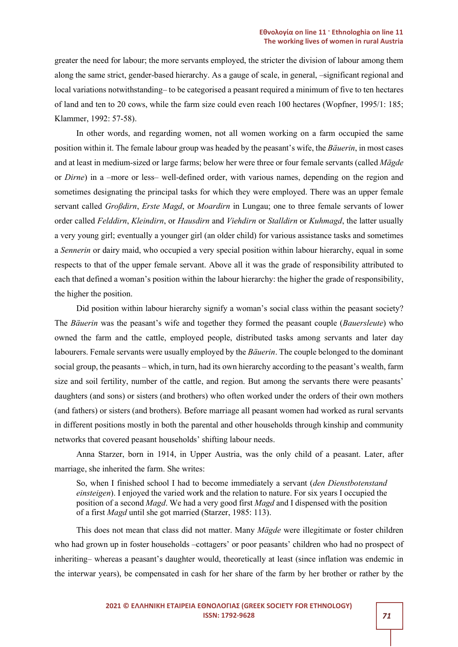greater the need for labour; the more servants employed, the stricter the division of labour among them along the same strict, gender-based hierarchy. As a gauge of scale, in general, –significant regional and local variations notwithstanding– to be categorised a peasant required a minimum of five to ten hectares of land and ten to 20 cows, while the farm size could even reach 100 hectares (Wopfner, 1995/1: 185; Klammer, 1992: 57-58).

In other words, and regarding women, not all women working on a farm occupied the same position within it. The female labour group was headed by the peasant's wife, the Bäuerin, in most cases and at least in medium-sized or large farms; below her were three or four female servants (called Mägde or Dirne) in a –more or less– well-defined order, with various names, depending on the region and sometimes designating the principal tasks for which they were employed. There was an upper female servant called *Großdirn, Erste Magd*, or *Moardirn* in Lungau; one to three female servants of lower order called Felddirn, Kleindirn, or Hausdirn and Viehdirn or Stalldirn or Kuhmagd, the latter usually a very young girl; eventually a younger girl (an older child) for various assistance tasks and sometimes a Sennerin or dairy maid, who occupied a very special position within labour hierarchy, equal in some respects to that of the upper female servant. Above all it was the grade of responsibility attributed to each that defined a woman's position within the labour hierarchy: the higher the grade of responsibility, the higher the position.

Did position within labour hierarchy signify a woman's social class within the peasant society? The Bäuerin was the peasant's wife and together they formed the peasant couple (Bauersleute) who owned the farm and the cattle, employed people, distributed tasks among servants and later day labourers. Female servants were usually employed by the Bäuerin. The couple belonged to the dominant social group, the peasants – which, in turn, had its own hierarchy according to the peasant's wealth, farm size and soil fertility, number of the cattle, and region. But among the servants there were peasants' daughters (and sons) or sisters (and brothers) who often worked under the orders of their own mothers (and fathers) or sisters (and brothers). Before marriage all peasant women had worked as rural servants in different positions mostly in both the parental and other households through kinship and community networks that covered peasant households' shifting labour needs.

Anna Starzer, born in 1914, in Upper Austria, was the only child of a peasant. Later, after marriage, she inherited the farm. She writes:

So, when I finished school I had to become immediately a servant (den Dienstbotenstand einsteigen). I enjoyed the varied work and the relation to nature. For six years I occupied the position of a second Magd. We had a very good first Magd and I dispensed with the position of a first Magd until she got married (Starzer, 1985: 113).

This does not mean that class did not matter. Many *Mägde* were illegitimate or foster children who had grown up in foster households –cottagers' or poor peasants' children who had no prospect of inheriting– whereas a peasant's daughter would, theoretically at least (since inflation was endemic in the interwar years), be compensated in cash for her share of the farm by her brother or rather by the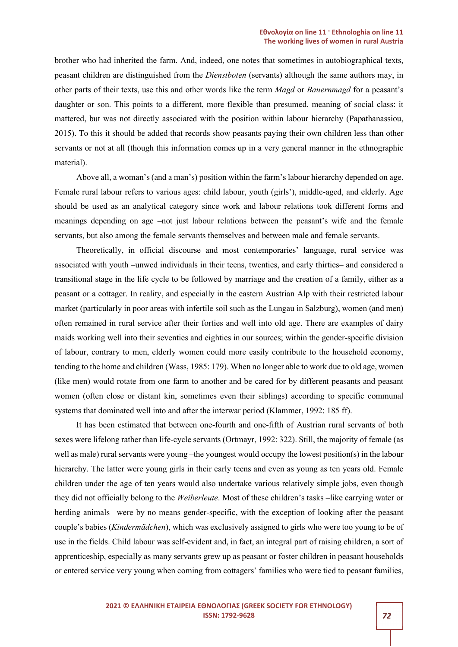brother who had inherited the farm. And, indeed, one notes that sometimes in autobiographical texts, peasant children are distinguished from the Dienstboten (servants) although the same authors may, in other parts of their texts, use this and other words like the term Magd or Bauernmagd for a peasant's daughter or son. This points to a different, more flexible than presumed, meaning of social class: it mattered, but was not directly associated with the position within labour hierarchy (Papathanassiou, 2015). To this it should be added that records show peasants paying their own children less than other servants or not at all (though this information comes up in a very general manner in the ethnographic material).

Above all, a woman's (and a man's) position within the farm's labour hierarchy depended on age. Female rural labour refers to various ages: child labour, youth (girls'), middle-aged, and elderly. Age should be used as an analytical category since work and labour relations took different forms and meanings depending on age –not just labour relations between the peasant's wife and the female servants, but also among the female servants themselves and between male and female servants.

Theoretically, in official discourse and most contemporaries' language, rural service was associated with youth –unwed individuals in their teens, twenties, and early thirties– and considered a transitional stage in the life cycle to be followed by marriage and the creation of a family, either as a peasant or a cottager. In reality, and especially in the eastern Austrian Alp with their restricted labour market (particularly in poor areas with infertile soil such as the Lungau in Salzburg), women (and men) often remained in rural service after their forties and well into old age. There are examples of dairy maids working well into their seventies and eighties in our sources; within the gender-specific division of labour, contrary to men, elderly women could more easily contribute to the household economy, tending to the home and children (Wass, 1985: 179). When no longer able to work due to old age, women (like men) would rotate from one farm to another and be cared for by different peasants and peasant women (often close or distant kin, sometimes even their siblings) according to specific communal systems that dominated well into and after the interwar period (Klammer, 1992: 185 ff).

It has been estimated that between one-fourth and one-fifth of Austrian rural servants of both sexes were lifelong rather than life-cycle servants (Ortmayr, 1992: 322). Still, the majority of female (as well as male) rural servants were young –the youngest would occupy the lowest position(s) in the labour hierarchy. The latter were young girls in their early teens and even as young as ten years old. Female children under the age of ten years would also undertake various relatively simple jobs, even though they did not officially belong to the Weiberleute. Most of these children's tasks –like carrying water or herding animals– were by no means gender-specific, with the exception of looking after the peasant couple's babies (*Kindermädchen*), which was exclusively assigned to girls who were too young to be of use in the fields. Child labour was self-evident and, in fact, an integral part of raising children, a sort of apprenticeship, especially as many servants grew up as peasant or foster children in peasant households or entered service very young when coming from cottagers' families who were tied to peasant families,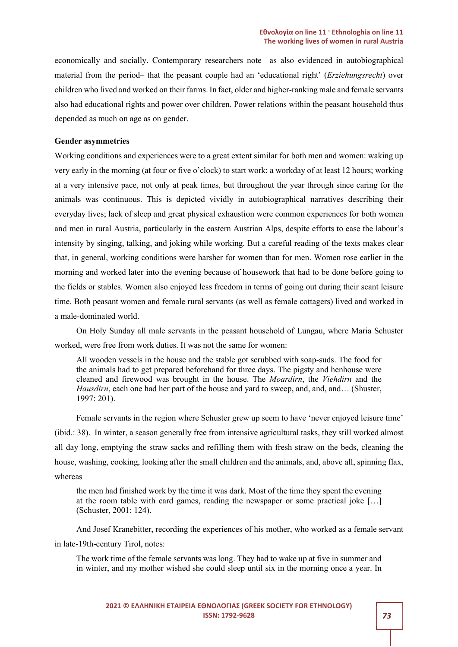economically and socially. Contemporary researchers note –as also evidenced in autobiographical material from the period– that the peasant couple had an 'educational right' (*Erziehungsrecht*) over children who lived and worked on their farms. In fact, older and higher-ranking male and female servants also had educational rights and power over children. Power relations within the peasant household thus depended as much on age as on gender.

### Gender asymmetries

Working conditions and experiences were to a great extent similar for both men and women: waking up very early in the morning (at four or five o'clock) to start work; a workday of at least 12 hours; working at a very intensive pace, not only at peak times, but throughout the year through since caring for the animals was continuous. This is depicted vividly in autobiographical narratives describing their everyday lives; lack of sleep and great physical exhaustion were common experiences for both women and men in rural Austria, particularly in the eastern Austrian Alps, despite efforts to ease the labour's intensity by singing, talking, and joking while working. But a careful reading of the texts makes clear that, in general, working conditions were harsher for women than for men. Women rose earlier in the morning and worked later into the evening because of housework that had to be done before going to the fields or stables. Women also enjoyed less freedom in terms of going out during their scant leisure time. Both peasant women and female rural servants (as well as female cottagers) lived and worked in a male-dominated world.

On Holy Sunday all male servants in the peasant household of Lungau, where Maria Schuster worked, were free from work duties. It was not the same for women:

All wooden vessels in the house and the stable got scrubbed with soap-suds. The food for the animals had to get prepared beforehand for three days. The pigsty and henhouse were cleaned and firewood was brought in the house. The Moardirn, the Viehdirn and the Hausdirn, each one had her part of the house and yard to sweep, and, and, and... (Shuster, 1997: 201).

Female servants in the region where Schuster grew up seem to have 'never enjoyed leisure time' (ibid.: 38). In winter, a season generally free from intensive agricultural tasks, they still worked almost all day long, emptying the straw sacks and refilling them with fresh straw on the beds, cleaning the house, washing, cooking, looking after the small children and the animals, and, above all, spinning flax, whereas

the men had finished work by the time it was dark. Most of the time they spent the evening at the room table with card games, reading the newspaper or some practical joke […] (Schuster, 2001: 124).

And Josef Kranebitter, recording the experiences of his mother, who worked as a female servant in late-19th-century Tirol, notes:

The work time of the female servants was long. They had to wake up at five in summer and in winter, and my mother wished she could sleep until six in the morning once a year. In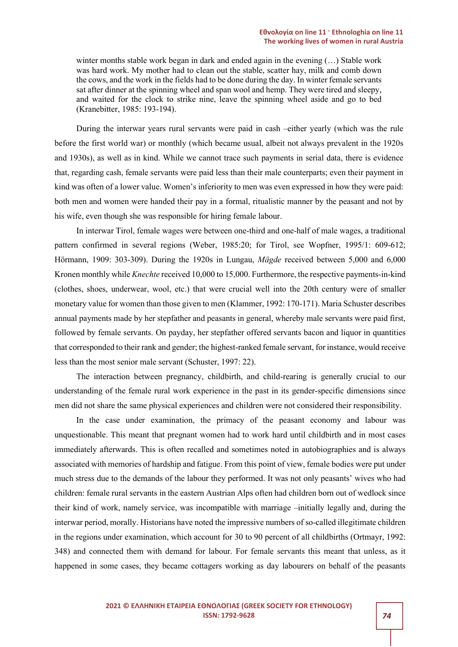winter months stable work began in dark and ended again in the evening (…) Stable work was hard work. My mother had to clean out the stable, scatter hay, milk and comb down the cows, and the work in the fields had to be done during the day. In winter female servants sat after dinner at the spinning wheel and span wool and hemp. They were tired and sleepy, and waited for the clock to strike nine, leave the spinning wheel aside and go to bed (Kranebitter, 1985: 193-194).

During the interwar years rural servants were paid in cash –either yearly (which was the rule before the first world war) or monthly (which became usual, albeit not always prevalent in the 1920s and 1930s), as well as in kind. While we cannot trace such payments in serial data, there is evidence that, regarding cash, female servants were paid less than their male counterparts; even their payment in kind was often of a lower value. Women's inferiority to men was even expressed in how they were paid: both men and women were handed their pay in a formal, ritualistic manner by the peasant and not by his wife, even though she was responsible for hiring female labour.

In interwar Tirol, female wages were between one-third and one-half of male wages, a traditional pattern confirmed in several regions (Weber, 1985:20; for Tirol, see Wopfner, 1995/1: 609-612; Hörmann, 1909: 303-309). During the 1920s in Lungau, Mägde received between 5,000 and 6,000 Kronen monthly while *Knechte* received 10,000 to 15,000. Furthermore, the respective payments-in-kind (clothes, shoes, underwear, wool, etc.) that were crucial well into the 20th century were of smaller monetary value for women than those given to men (Klammer, 1992: 170-171). Maria Schuster describes annual payments made by her stepfather and peasants in general, whereby male servants were paid first, followed by female servants. On payday, her stepfather offered servants bacon and liquor in quantities that corresponded to their rank and gender; the highest-ranked female servant, for instance, would receive less than the most senior male servant (Schuster, 1997: 22).

The interaction between pregnancy, childbirth, and child-rearing is generally crucial to our understanding of the female rural work experience in the past in its gender-specific dimensions since men did not share the same physical experiences and children were not considered their responsibility.

In the case under examination, the primacy of the peasant economy and labour was unquestionable. This meant that pregnant women had to work hard until childbirth and in most cases immediately afterwards. This is often recalled and sometimes noted in autobiographies and is always associated with memories of hardship and fatigue. From this point of view, female bodies were put under much stress due to the demands of the labour they performed. It was not only peasants' wives who had children: female rural servants in the eastern Austrian Alps often had children born out of wedlock since their kind of work, namely service, was incompatible with marriage –initially legally and, during the interwar period, morally. Historians have noted the impressive numbers of so-called illegitimate children in the regions under examination, which account for 30 to 90 percent of all childbirths (Ortmayr, 1992: 348) and connected them with demand for labour. For female servants this meant that unless, as it happened in some cases, they became cottagers working as day labourers on behalf of the peasants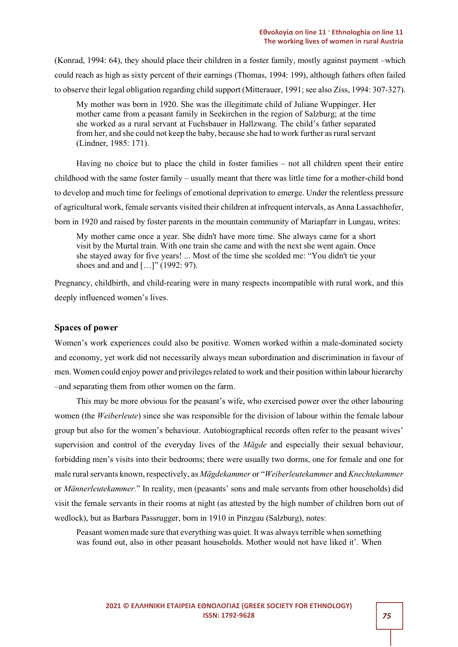(Konrad, 1994: 64), they should place their children in a foster family, mostly against payment –which could reach as high as sixty percent of their earnings (Thomas, 1994: 199), although fathers often failed to observe their legal obligation regarding child support (Mitterauer, 1991; see also Ziss, 1994: 307-327).

My mother was born in 1920. She was the illegitimate child of Juliane Wuppinger. Her mother came from a peasant family in Seekirchen in the region of Salzburg; at the time she worked as a rural servant at Fuchsbauer in Hallzwang. The child's father separated from her, and she could not keep the baby, because she had to work further as rural servant (Lindner, 1985: 171).

Having no choice but to place the child in foster families – not all children spent their entire childhood with the same foster family – usually meant that there was little time for a mother-child bond to develop and much time for feelings of emotional deprivation to emerge. Under the relentless pressure of agricultural work, female servants visited their children at infrequent intervals, as Anna Lassachhofer, born in 1920 and raised by foster parents in the mountain community of Mariapfarr in Lungau, writes:

My mother came once a year. She didn't have more time. She always came for a short visit by the Murtal train. With one train she came and with the next she went again. Once she stayed away for five years! ... Most of the time she scolded me: "You didn't tie your shoes and and and  $[...]$ " (1992: 97).

Pregnancy, childbirth, and child-rearing were in many respects incompatible with rural work, and this deeply influenced women's lives.

# Spaces of power

Women's work experiences could also be positive. Women worked within a male-dominated society and economy, yet work did not necessarily always mean subordination and discrimination in favour of men. Women could enjoy power and privileges related to work and their position within labour hierarchy –and separating them from other women on the farm.

This may be more obvious for the peasant's wife, who exercised power over the other labouring women (the Weiberleute) since she was responsible for the division of labour within the female labour group but also for the women's behaviour. Autobiographical records often refer to the peasant wives' supervision and control of the everyday lives of the *Mägde* and especially their sexual behaviour, forbidding men's visits into their bedrooms; there were usually two dorms, one for female and one for male rural servants known, respectively, as Mägdekammer or "Weiberleutekammer and Knechtekammer or Männerleutekammer." In reality, men (peasants' sons and male servants from other households) did visit the female servants in their rooms at night (as attested by the high number of children born out of wedlock), but as Barbara Passrugger, born in 1910 in Pinzgau (Salzburg), notes:

Peasant women made sure that everything was quiet. It was always terrible when something was found out, also in other peasant households. Mother would not have liked it'. When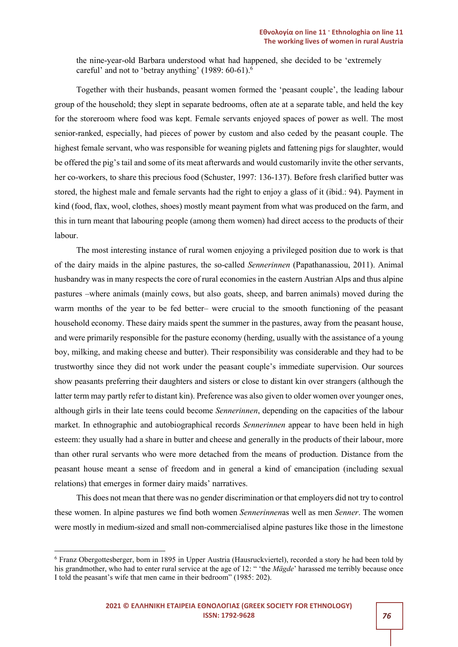the nine-year-old Barbara understood what had happened, she decided to be 'extremely careful' and not to 'betray anything' (1989: 60-61).<sup>6</sup>

Together with their husbands, peasant women formed the 'peasant couple', the leading labour group of the household; they slept in separate bedrooms, often ate at a separate table, and held the key for the storeroom where food was kept. Female servants enjoyed spaces of power as well. The most senior-ranked, especially, had pieces of power by custom and also ceded by the peasant couple. The highest female servant, who was responsible for weaning piglets and fattening pigs for slaughter, would be offered the pig's tail and some of its meat afterwards and would customarily invite the other servants, her co-workers, to share this precious food (Schuster, 1997: 136-137). Before fresh clarified butter was stored, the highest male and female servants had the right to enjoy a glass of it (ibid.: 94). Payment in kind (food, flax, wool, clothes, shoes) mostly meant payment from what was produced on the farm, and this in turn meant that labouring people (among them women) had direct access to the products of their labour.

The most interesting instance of rural women enjoying a privileged position due to work is that of the dairy maids in the alpine pastures, the so-called Sennerinnen (Papathanassiou, 2011). Animal husbandry was in many respects the core of rural economies in the eastern Austrian Alps and thus alpine pastures –where animals (mainly cows, but also goats, sheep, and barren animals) moved during the warm months of the year to be fed better– were crucial to the smooth functioning of the peasant household economy. These dairy maids spent the summer in the pastures, away from the peasant house, and were primarily responsible for the pasture economy (herding, usually with the assistance of a young boy, milking, and making cheese and butter). Their responsibility was considerable and they had to be trustworthy since they did not work under the peasant couple's immediate supervision. Our sources show peasants preferring their daughters and sisters or close to distant kin over strangers (although the latter term may partly refer to distant kin). Preference was also given to older women over younger ones, although girls in their late teens could become Sennerinnen, depending on the capacities of the labour market. In ethnographic and autobiographical records Sennerinnen appear to have been held in high esteem: they usually had a share in butter and cheese and generally in the products of their labour, more than other rural servants who were more detached from the means of production. Distance from the peasant house meant a sense of freedom and in general a kind of emancipation (including sexual relations) that emerges in former dairy maids' narratives.

This does not mean that there was no gender discrimination or that employers did not try to control these women. In alpine pastures we find both women Sennerinnenas well as men Senner. The women were mostly in medium-sized and small non-commercialised alpine pastures like those in the limestone

<sup>&</sup>lt;sup>6</sup> Franz Obergottesberger, born in 1895 in Upper Austria (Hausruckviertel), recorded a story he had been told by his grandmother, who had to enter rural service at the age of 12: " 'the *Mägde'* harassed me terribly because once I told the peasant's wife that men came in their bedroom" (1985: 202).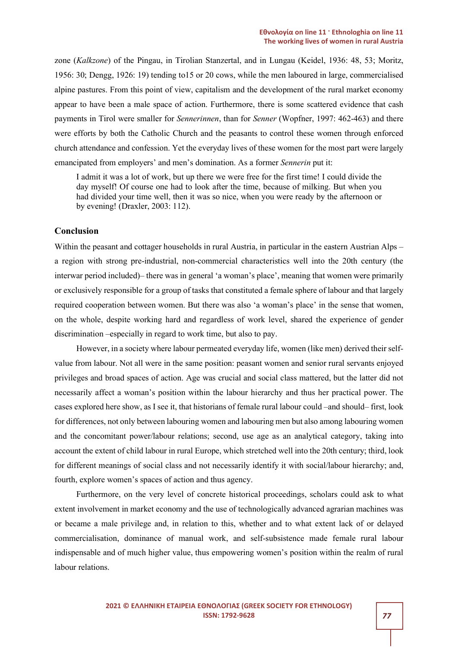zone (Kalkzone) of the Pingau, in Tirolian Stanzertal, and in Lungau (Keidel, 1936: 48, 53; Moritz, 1956: 30; Dengg, 1926: 19) tending to15 or 20 cows, while the men laboured in large, commercialised alpine pastures. From this point of view, capitalism and the development of the rural market economy appear to have been a male space of action. Furthermore, there is some scattered evidence that cash payments in Tirol were smaller for *Sennerinnen*, than for *Senner* (Wopfner, 1997: 462-463) and there were efforts by both the Catholic Church and the peasants to control these women through enforced church attendance and confession. Yet the everyday lives of these women for the most part were largely emancipated from employers' and men's domination. As a former Sennerin put it:

I admit it was a lot of work, but up there we were free for the first time! I could divide the day myself! Of course one had to look after the time, because of milking. But when you had divided your time well, then it was so nice, when you were ready by the afternoon or by evening! (Draxler, 2003: 112).

## Conclusion

Within the peasant and cottager households in rural Austria, in particular in the eastern Austrian Alps – a region with strong pre-industrial, non-commercial characteristics well into the 20th century (the interwar period included)– there was in general 'a woman's place', meaning that women were primarily or exclusively responsible for a group of tasks that constituted a female sphere of labour and that largely required cooperation between women. But there was also 'a woman's place' in the sense that women, on the whole, despite working hard and regardless of work level, shared the experience of gender discrimination –especially in regard to work time, but also to pay.

However, in a society where labour permeated everyday life, women (like men) derived their selfvalue from labour. Not all were in the same position: peasant women and senior rural servants enjoyed privileges and broad spaces of action. Age was crucial and social class mattered, but the latter did not necessarily affect a woman's position within the labour hierarchy and thus her practical power. The cases explored here show, as I see it, that historians of female rural labour could –and should– first, look for differences, not only between labouring women and labouring men but also among labouring women and the concomitant power/labour relations; second, use age as an analytical category, taking into account the extent of child labour in rural Europe, which stretched well into the 20th century; third, look for different meanings of social class and not necessarily identify it with social/labour hierarchy; and, fourth, explore women's spaces of action and thus agency.

Furthermore, on the very level of concrete historical proceedings, scholars could ask to what extent involvement in market economy and the use of technologically advanced agrarian machines was or became a male privilege and, in relation to this, whether and to what extent lack of or delayed commercialisation, dominance of manual work, and self-subsistence made female rural labour indispensable and of much higher value, thus empowering women's position within the realm of rural labour relations.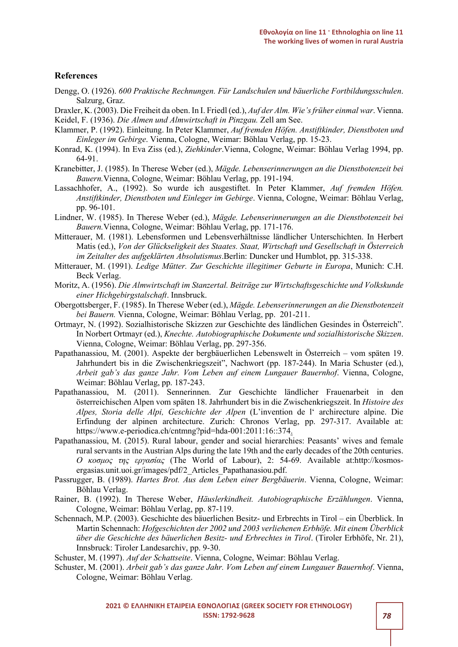### **References**

- Dengg, O. (1926). 600 Praktische Rechnungen. Für Landschulen und bäuerliche Fortbildungsschulen. Salzurg, Graz.
- Draxler, K. (2003). Die Freiheit da oben. In I. Friedl (ed.), Auf der Alm. Wie's früher einmal war. Vienna.

Keidel, F. (1936). Die Almen und Almwirtschaft in Pinzgau. Zell am See.

- Klammer, P. (1992). Einleitung. In Peter Klammer, Auf fremden Höfen. Anstiftkinder, Dienstboten und Einleger im Gebirge. Vienna, Cologne, Weimar: Böhlau Verlag, pp. 15-23.
- Konrad, K. (1994). In Eva Ziss (ed.), Ziehkinder.Vienna, Cologne, Weimar: Böhlau Verlag 1994, pp. 64-91.
- Kranebitter, J. (1985). In Therese Weber (ed.), Mägde. Lebenserinnerungen an die Dienstbotenzeit bei Bauern.Vienna, Cologne, Weimar: Böhlau Verlag, pp. 191-194.
- Lassachhofer, A., (1992). So wurde ich ausgestiftet. In Peter Klammer, Auf fremden Höfen. Anstiftkinder, Dienstboten und Einleger im Gebirge. Vienna, Cologne, Weimar: Böhlau Verlag, pp. 96-101.
- Lindner, W. (1985). In Therese Weber (ed.), Mägde. Lebenserinnerungen an die Dienstbotenzeit bei Bauern.Vienna, Cologne, Weimar: Böhlau Verlag, pp. 171-176.
- Mitterauer, M. (1981). Lebensformen und Lebensverhältnisse ländlicher Unterschichten. In Herbert Matis (ed.), Von der Glückseligkeit des Staates. Staat, Wirtschaft und Gesellschaft in Österreich im Zeitalter des aufgeklärten Absolutismus.Berlin: Duncker und Humblot, pp. 315-338.
- Mitterauer, M. (1991). Ledige Mütter. Zur Geschichte illegitimer Geburte in Europa, Munich: C.H. Beck Verlag.
- Moritz, A. (1956). Die Almwirtschaft im Stanzertal. Beiträge zur Wirtschaftsgeschichte und Volkskunde einer Hichgebirgstalschaft. Innsbruck.
- Obergottsberger, F. (1985). In Therese Weber (ed.), Mägde. Lebenserinnerungen an die Dienstbotenzeit bei Bauern. Vienna, Cologne, Weimar: Böhlau Verlag, pp. 201-211.
- Ortmayr, N. (1992). Sozialhistorische Skizzen zur Geschichte des ländlichen Gesindes in Österreich". In Norbert Ortmayr (ed.), Knechte. Autobiographische Dokumente und sozialhistorische Skizzen. Vienna, Cologne, Weimar: Böhlau Verlag, pp. 297-356.
- Papathanassiou, M. (2001). Aspekte der bergbäuerlichen Lebenswelt in Österreich vom späten 19. Jahrhundert bis in die Zwischenkriegszeit", Nachwort (pp. 187-244). In Maria Schuster (ed.), Arbeit gab's das ganze Jahr. Vom Leben auf einem Lungauer Bauernhof. Vienna, Cologne, Weimar: Böhlau Verlag, pp. 187-243.
- Papathanassiou, M. (2011). Sennerinnen. Zur Geschichte ländlicher Frauenarbeit in den österreichischen Alpen vom späten 18. Jahrhundert bis in die Zwischenkriegszeit. In Histoire des Alpes, Storia delle Alpi, Geschichte der Alpen (L'invention de l' archirecture alpine. Die Erfindung der alpinen architecture. Zurich: Chronos Verlag, pp. 297-317. Available at: https://www.e-periodica.ch/cntmng?pid=hda-001:2011:16::374.
- Papathanassiou, M. (2015). Rural labour, gender and social hierarchies: Peasants' wives and female rural servants in the Austrian Alps during the late 19th and the early decades of the 20th centuries. Ο κοσμος της εργασίας (The World of Labour), 2: 54-69. Available at:http://kosmosergasias.unit.uoi.gr/images/pdf/2\_Articles\_Papathanasiou.pdf.
- Passrugger, B. (1989). Hartes Brot. Aus dem Leben einer Bergbäuerin. Vienna, Cologne, Weimar: Böhlau Verlag.
- Rainer, B. (1992). In Therese Weber, Häuslerkindheit. Autobiographische Erzählungen. Vienna, Cologne, Weimar: Böhlau Verlag, pp. 87-119.
- Schennach, M.P. (2003). Geschichte des bäuerlichen Besitz- und Erbrechts in Tirol ein Überblick. In Martin Schennach: Hofgeschichten der 2002 und 2003 verliehenen Erbhöfe. Mit einem Überblick über die Geschichte des bäuerlichen Besitz- und Erbrechtes in Tirol. (Tiroler Erbhöfe, Nr. 21), Innsbruck: Tiroler Landesarchiv, pp. 9-30.

Schuster, M. (1997). Auf der Schattseite. Vienna, Cologne, Weimar: Böhlau Verlag.

Schuster, M. (2001). Arbeit gab's das ganze Jahr. Vom Leben auf einem Lungauer Bauernhof. Vienna, Cologne, Weimar: Böhlau Verlag.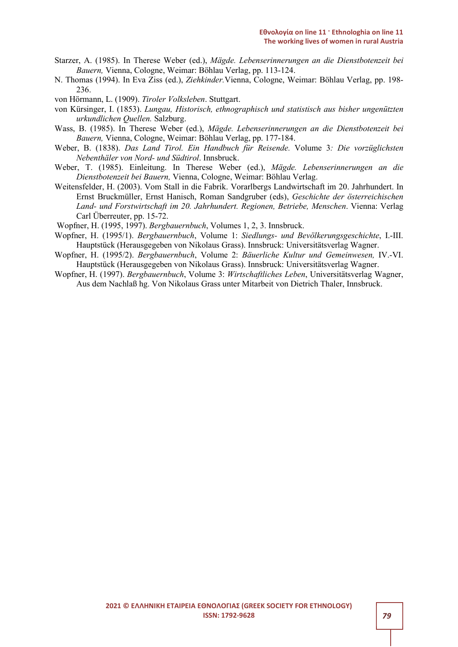- Starzer, A. (1985). In Therese Weber (ed.), Mägde. Lebenserinnerungen an die Dienstbotenzeit bei Bauern, Vienna, Cologne, Weimar: Böhlau Verlag, pp. 113-124.
- N. Thomas (1994). In Eva Ziss (ed.), Ziehkinder.Vienna, Cologne, Weimar: Böhlau Verlag, pp. 198- 236.
- von Hörmann, L. (1909). Tiroler Volksleben. Stuttgart.
- von Kürsinger, I. (1853). Lungau, Historisch, ethnographisch und statistisch aus bisher ungenützten urkundlichen Quellen. Salzburg.
- Wass, B. (1985). In Therese Weber (ed.), Mägde. Lebenserinnerungen an die Dienstbotenzeit bei Bauern, Vienna, Cologne, Weimar: Böhlau Verlag, pp. 177-184.
- Weber, B. (1838). Das Land Tirol. Ein Handbuch für Reisende. Volume 3: Die vorzüglichsten Nebenthäler von Nord- und Südtirol. Innsbruck.
- Weber, T. (1985). Einleitung. In Therese Weber (ed.), Mägde. Lebenserinnerungen an die Dienstbotenzeit bei Bauern, Vienna, Cologne, Weimar: Böhlau Verlag.
- Weitensfelder, H. (2003). Vom Stall in die Fabrik. Vorarlbergs Landwirtschaft im 20. Jahrhundert. In Ernst Bruckmüller, Ernst Hanisch, Roman Sandgruber (eds), Geschichte der österreichischen Land- und Forstwirtschaft im 20. Jahrhundert. Regionen, Betriebe, Menschen. Vienna: Verlag Carl Überreuter, pp. 15-72.
- Wopfner, H. (1995, 1997). Bergbauernbuch, Volumes 1, 2, 3. Innsbruck.
- Wopfner, H. (1995/1). Bergbauernbuch, Volume 1: Siedlungs- und Bevölkerungsgeschichte, I.-III. Hauptstück (Herausgegeben von Nikolaus Grass). Innsbruck: Universitätsverlag Wagner.
- Wopfner, H. (1995/2). Bergbauernbuch, Volume 2: Bäuerliche Kultur und Gemeinwesen, IV.-VI. Hauptstück (Herausgegeben von Nikolaus Grass). Innsbruck: Universitätsverlag Wagner.
- Wopfner, H. (1997). Bergbauernbuch, Volume 3: Wirtschaftliches Leben, Universitätsverlag Wagner, Aus dem Nachlaß hg. Von Nikolaus Grass unter Mitarbeit von Dietrich Thaler, Innsbruck.